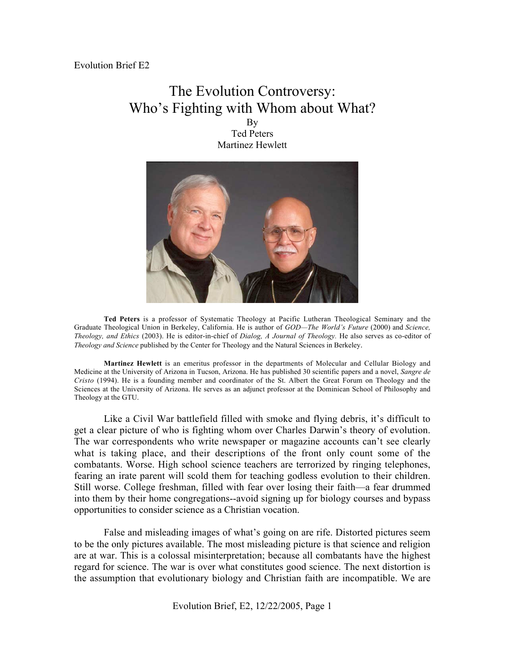Evolution Brief E2

# The Evolution Controversy: Who's Fighting with Whom about What?

By Ted Peters Martinez Hewlett



**Ted Peters** is a professor of Systematic Theology at Pacific Lutheran Theological Seminary and the Graduate Theological Union in Berkeley, California. He is author of *GOD—The World's Future* (2000) and *Science, Theology, and Ethics* (2003). He is editor-in-chief of *Dialog, A Journal of Theology.* He also serves as co-editor of *Theology and Science* published by the Center for Theology and the Natural Sciences in Berkeley.

**Martinez Hewlett** is an emeritus professor in the departments of Molecular and Cellular Biology and Medicine at the University of Arizona in Tucson, Arizona. He has published 30 scientific papers and a novel, *Sangre de Cristo* (1994). He is a founding member and coordinator of the St. Albert the Great Forum on Theology and the Sciences at the University of Arizona. He serves as an adjunct professor at the Dominican School of Philosophy and Theology at the GTU.

Like a Civil War battlefield filled with smoke and flying debris, it's difficult to get a clear picture of who is fighting whom over Charles Darwin's theory of evolution. The war correspondents who write newspaper or magazine accounts can't see clearly what is taking place, and their descriptions of the front only count some of the combatants. Worse. High school science teachers are terrorized by ringing telephones, fearing an irate parent will scold them for teaching godless evolution to their children. Still worse. College freshman, filled with fear over losing their faith—a fear drummed into them by their home congregations--avoid signing up for biology courses and bypass opportunities to consider science as a Christian vocation.

False and misleading images of what's going on are rife. Distorted pictures seem to be the only pictures available. The most misleading picture is that science and religion are at war. This is a colossal misinterpretation; because all combatants have the highest regard for science. The war is over what constitutes good science. The next distortion is the assumption that evolutionary biology and Christian faith are incompatible. We are

Evolution Brief, E2, 12/22/2005, Page 1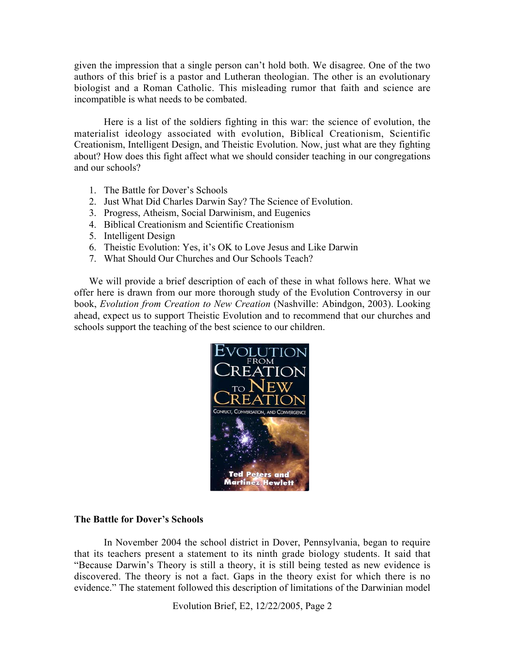given the impression that a single person can't hold both. We disagree. One of the two authors of this brief is a pastor and Lutheran theologian. The other is an evolutionary biologist and a Roman Catholic. This misleading rumor that faith and science are incompatible is what needs to be combated.

Here is a list of the soldiers fighting in this war: the science of evolution, the materialist ideology associated with evolution, Biblical Creationism, Scientific Creationism, Intelligent Design, and Theistic Evolution. Now, just what are they fighting about? How does this fight affect what we should consider teaching in our congregations and our schools?

- 1. The Battle for Dover's Schools
- 2. Just What Did Charles Darwin Say? The Science of Evolution.
- 3. Progress, Atheism, Social Darwinism, and Eugenics
- 4. Biblical Creationism and Scientific Creationism
- 5. Intelligent Design
- 6. Theistic Evolution: Yes, it's OK to Love Jesus and Like Darwin
- 7. What Should Our Churches and Our Schools Teach?

We will provide a brief description of each of these in what follows here. What we offer here is drawn from our more thorough study of the Evolution Controversy in our book, *Evolution from Creation to New Creation* (Nashville: Abindgon, 2003). Looking ahead, expect us to support Theistic Evolution and to recommend that our churches and schools support the teaching of the best science to our children.



#### **The Battle for Dover's Schools**

In November 2004 the school district in Dover, Pennsylvania, began to require that its teachers present a statement to its ninth grade biology students. It said that "Because Darwin's Theory is still a theory, it is still being tested as new evidence is discovered. The theory is not a fact. Gaps in the theory exist for which there is no evidence." The statement followed this description of limitations of the Darwinian model

Evolution Brief, E2, 12/22/2005, Page 2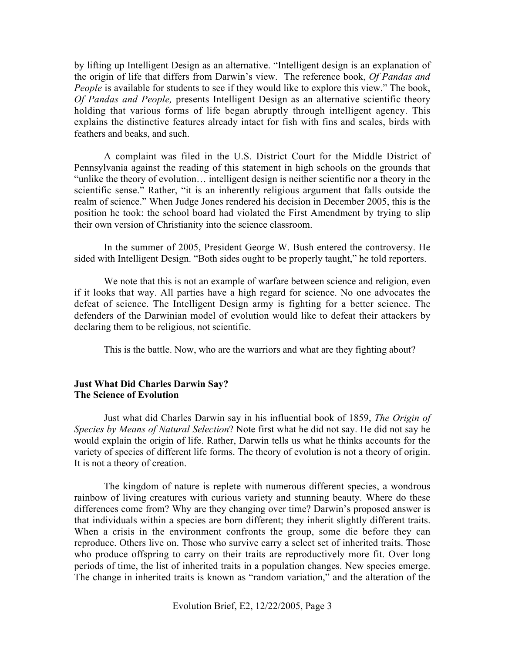by lifting up Intelligent Design as an alternative. "Intelligent design is an explanation of the origin of life that differs from Darwin's view. The reference book, *Of Pandas and People* is available for students to see if they would like to explore this view." The book, *Of Pandas and People,* presents Intelligent Design as an alternative scientific theory holding that various forms of life began abruptly through intelligent agency. This explains the distinctive features already intact for fish with fins and scales, birds with feathers and beaks, and such.

A complaint was filed in the U.S. District Court for the Middle District of Pennsylvania against the reading of this statement in high schools on the grounds that "unlike the theory of evolution… intelligent design is neither scientific nor a theory in the scientific sense." Rather, "it is an inherently religious argument that falls outside the realm of science." When Judge Jones rendered his decision in December 2005, this is the position he took: the school board had violated the First Amendment by trying to slip their own version of Christianity into the science classroom.

In the summer of 2005, President George W. Bush entered the controversy. He sided with Intelligent Design. "Both sides ought to be properly taught," he told reporters.

We note that this is not an example of warfare between science and religion, even if it looks that way. All parties have a high regard for science. No one advocates the defeat of science. The Intelligent Design army is fighting for a better science. The defenders of the Darwinian model of evolution would like to defeat their attackers by declaring them to be religious, not scientific.

This is the battle. Now, who are the warriors and what are they fighting about?

#### **Just What Did Charles Darwin Say? The Science of Evolution**

Just what did Charles Darwin say in his influential book of 1859, *The Origin of Species by Means of Natural Selection*? Note first what he did not say. He did not say he would explain the origin of life. Rather, Darwin tells us what he thinks accounts for the variety of species of different life forms. The theory of evolution is not a theory of origin. It is not a theory of creation.

The kingdom of nature is replete with numerous different species, a wondrous rainbow of living creatures with curious variety and stunning beauty. Where do these differences come from? Why are they changing over time? Darwin's proposed answer is that individuals within a species are born different; they inherit slightly different traits. When a crisis in the environment confronts the group, some die before they can reproduce. Others live on. Those who survive carry a select set of inherited traits. Those who produce offspring to carry on their traits are reproductively more fit. Over long periods of time, the list of inherited traits in a population changes. New species emerge. The change in inherited traits is known as "random variation," and the alteration of the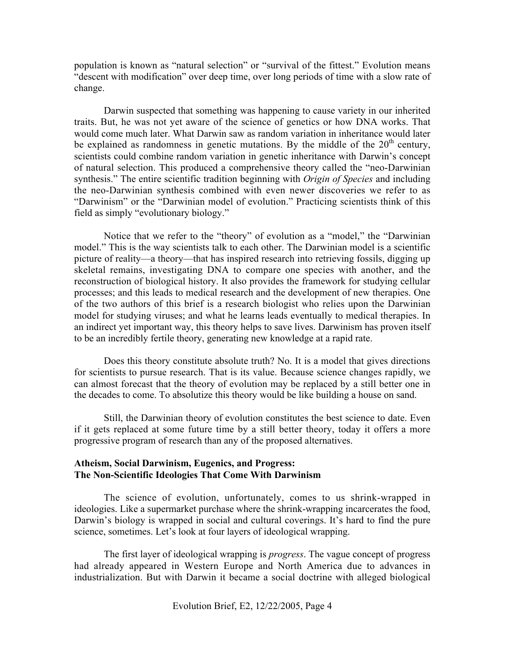population is known as "natural selection" or "survival of the fittest." Evolution means "descent with modification" over deep time, over long periods of time with a slow rate of change.

Darwin suspected that something was happening to cause variety in our inherited traits. But, he was not yet aware of the science of genetics or how DNA works. That would come much later. What Darwin saw as random variation in inheritance would later be explained as randomness in genetic mutations. By the middle of the  $20<sup>th</sup>$  century, scientists could combine random variation in genetic inheritance with Darwin's concept of natural selection. This produced a comprehensive theory called the "neo-Darwinian synthesis." The entire scientific tradition beginning with *Origin of Species* and including the neo-Darwinian synthesis combined with even newer discoveries we refer to as "Darwinism" or the "Darwinian model of evolution." Practicing scientists think of this field as simply "evolutionary biology."

Notice that we refer to the "theory" of evolution as a "model," the "Darwinian model." This is the way scientists talk to each other. The Darwinian model is a scientific picture of reality—a theory—that has inspired research into retrieving fossils, digging up skeletal remains, investigating DNA to compare one species with another, and the reconstruction of biological history. It also provides the framework for studying cellular processes; and this leads to medical research and the development of new therapies. One of the two authors of this brief is a research biologist who relies upon the Darwinian model for studying viruses; and what he learns leads eventually to medical therapies. In an indirect yet important way, this theory helps to save lives. Darwinism has proven itself to be an incredibly fertile theory, generating new knowledge at a rapid rate.

Does this theory constitute absolute truth? No. It is a model that gives directions for scientists to pursue research. That is its value. Because science changes rapidly, we can almost forecast that the theory of evolution may be replaced by a still better one in the decades to come. To absolutize this theory would be like building a house on sand.

Still, the Darwinian theory of evolution constitutes the best science to date. Even if it gets replaced at some future time by a still better theory, today it offers a more progressive program of research than any of the proposed alternatives.

#### **Atheism, Social Darwinism, Eugenics, and Progress: The Non-Scientific Ideologies That Come With Darwinism**

The science of evolution, unfortunately, comes to us shrink-wrapped in ideologies. Like a supermarket purchase where the shrink-wrapping incarcerates the food, Darwin's biology is wrapped in social and cultural coverings. It's hard to find the pure science, sometimes. Let's look at four layers of ideological wrapping.

The first layer of ideological wrapping is *progress*. The vague concept of progress had already appeared in Western Europe and North America due to advances in industrialization. But with Darwin it became a social doctrine with alleged biological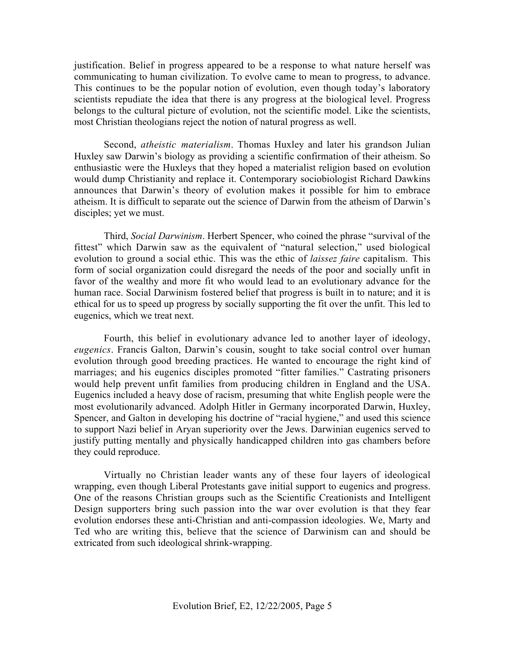justification. Belief in progress appeared to be a response to what nature herself was communicating to human civilization. To evolve came to mean to progress, to advance. This continues to be the popular notion of evolution, even though today's laboratory scientists repudiate the idea that there is any progress at the biological level. Progress belongs to the cultural picture of evolution, not the scientific model. Like the scientists, most Christian theologians reject the notion of natural progress as well.

Second, *atheistic materialism*. Thomas Huxley and later his grandson Julian Huxley saw Darwin's biology as providing a scientific confirmation of their atheism. So enthusiastic were the Huxleys that they hoped a materialist religion based on evolution would dump Christianity and replace it. Contemporary sociobiologist Richard Dawkins announces that Darwin's theory of evolution makes it possible for him to embrace atheism. It is difficult to separate out the science of Darwin from the atheism of Darwin's disciples; yet we must.

Third, *Social Darwinism*. Herbert Spencer, who coined the phrase "survival of the fittest" which Darwin saw as the equivalent of "natural selection," used biological evolution to ground a social ethic. This was the ethic of *laissez faire* capitalism. This form of social organization could disregard the needs of the poor and socially unfit in favor of the wealthy and more fit who would lead to an evolutionary advance for the human race. Social Darwinism fostered belief that progress is built in to nature; and it is ethical for us to speed up progress by socially supporting the fit over the unfit. This led to eugenics, which we treat next.

Fourth, this belief in evolutionary advance led to another layer of ideology, *eugenics*. Francis Galton, Darwin's cousin, sought to take social control over human evolution through good breeding practices. He wanted to encourage the right kind of marriages; and his eugenics disciples promoted "fitter families." Castrating prisoners would help prevent unfit families from producing children in England and the USA. Eugenics included a heavy dose of racism, presuming that white English people were the most evolutionarily advanced. Adolph Hitler in Germany incorporated Darwin, Huxley, Spencer, and Galton in developing his doctrine of "racial hygiene," and used this science to support Nazi belief in Aryan superiority over the Jews. Darwinian eugenics served to justify putting mentally and physically handicapped children into gas chambers before they could reproduce.

Virtually no Christian leader wants any of these four layers of ideological wrapping, even though Liberal Protestants gave initial support to eugenics and progress. One of the reasons Christian groups such as the Scientific Creationists and Intelligent Design supporters bring such passion into the war over evolution is that they fear evolution endorses these anti-Christian and anti-compassion ideologies. We, Marty and Ted who are writing this, believe that the science of Darwinism can and should be extricated from such ideological shrink-wrapping.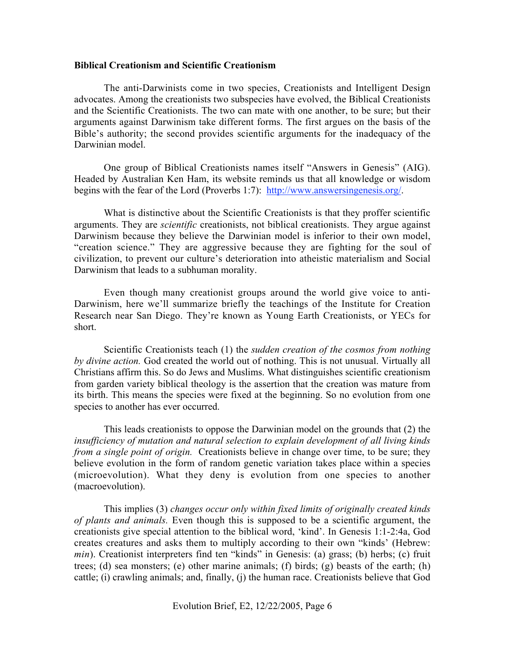#### **Biblical Creationism and Scientific Creationism**

The anti-Darwinists come in two species, Creationists and Intelligent Design advocates. Among the creationists two subspecies have evolved, the Biblical Creationists and the Scientific Creationists. The two can mate with one another, to be sure; but their arguments against Darwinism take different forms. The first argues on the basis of the Bible's authority; the second provides scientific arguments for the inadequacy of the Darwinian model.

One group of Biblical Creationists names itself "Answers in Genesis" (AIG). Headed by Australian Ken Ham, its website reminds us that all knowledge or wisdom begins with the fear of the Lord (Proverbs 1:7): http://www.answersingenesis.org/.

What is distinctive about the Scientific Creationists is that they proffer scientific arguments. They are *scientific* creationists, not biblical creationists. They argue against Darwinism because they believe the Darwinian model is inferior to their own model, "creation science." They are aggressive because they are fighting for the soul of civilization, to prevent our culture's deterioration into atheistic materialism and Social Darwinism that leads to a subhuman morality.

Even though many creationist groups around the world give voice to anti-Darwinism, here we'll summarize briefly the teachings of the Institute for Creation Research near San Diego. They're known as Young Earth Creationists, or YECs for short.

Scientific Creationists teach (1) the *sudden creation of the cosmos from nothing by divine action.* God created the world out of nothing. This is not unusual. Virtually all Christians affirm this. So do Jews and Muslims. What distinguishes scientific creationism from garden variety biblical theology is the assertion that the creation was mature from its birth. This means the species were fixed at the beginning. So no evolution from one species to another has ever occurred.

This leads creationists to oppose the Darwinian model on the grounds that (2) the *insufficiency of mutation and natural selection to explain development of all living kinds from a single point of origin.* Creationists believe in change over time, to be sure; they believe evolution in the form of random genetic variation takes place within a species (microevolution). What they deny is evolution from one species to another (macroevolution).

This implies (3) *changes occur only within fixed limits of originally created kinds of plants and animals.* Even though this is supposed to be a scientific argument, the creationists give special attention to the biblical word, 'kind'. In Genesis 1:1-2:4a, God creates creatures and asks them to multiply according to their own "kinds' (Hebrew: *min*). Creationist interpreters find ten "kinds" in Genesis: (a) grass; (b) herbs; (c) fruit trees; (d) sea monsters; (e) other marine animals; (f) birds; (g) beasts of the earth; (h) cattle; (i) crawling animals; and, finally, (j) the human race. Creationists believe that God

Evolution Brief, E2, 12/22/2005, Page 6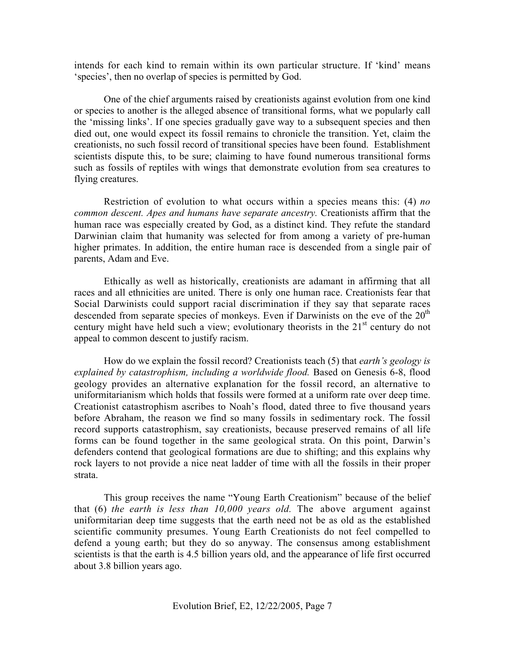intends for each kind to remain within its own particular structure. If 'kind' means 'species', then no overlap of species is permitted by God.

One of the chief arguments raised by creationists against evolution from one kind or species to another is the alleged absence of transitional forms, what we popularly call the 'missing links'. If one species gradually gave way to a subsequent species and then died out, one would expect its fossil remains to chronicle the transition. Yet, claim the creationists, no such fossil record of transitional species have been found. Establishment scientists dispute this, to be sure; claiming to have found numerous transitional forms such as fossils of reptiles with wings that demonstrate evolution from sea creatures to flying creatures.

Restriction of evolution to what occurs within a species means this: (4) *no common descent. Apes and humans have separate ancestry.* Creationists affirm that the human race was especially created by God, as a distinct kind. They refute the standard Darwinian claim that humanity was selected for from among a variety of pre-human higher primates. In addition, the entire human race is descended from a single pair of parents, Adam and Eve.

Ethically as well as historically, creationists are adamant in affirming that all races and all ethnicities are united. There is only one human race. Creationists fear that Social Darwinists could support racial discrimination if they say that separate races descended from separate species of monkeys. Even if Darwinists on the eve of the  $20<sup>th</sup>$ century might have held such a view; evolutionary theorists in the  $21<sup>st</sup>$  century do not appeal to common descent to justify racism.

How do we explain the fossil record? Creationists teach (5) that *earth's geology is explained by catastrophism, including a worldwide flood.* Based on Genesis 6-8, flood geology provides an alternative explanation for the fossil record, an alternative to uniformitarianism which holds that fossils were formed at a uniform rate over deep time. Creationist catastrophism ascribes to Noah's flood, dated three to five thousand years before Abraham, the reason we find so many fossils in sedimentary rock. The fossil record supports catastrophism, say creationists, because preserved remains of all life forms can be found together in the same geological strata. On this point, Darwin's defenders contend that geological formations are due to shifting; and this explains why rock layers to not provide a nice neat ladder of time with all the fossils in their proper strata.

This group receives the name "Young Earth Creationism" because of the belief that (6) *the earth is less than 10,000 years old.* The above argument against uniformitarian deep time suggests that the earth need not be as old as the established scientific community presumes. Young Earth Creationists do not feel compelled to defend a young earth; but they do so anyway. The consensus among establishment scientists is that the earth is 4.5 billion years old, and the appearance of life first occurred about 3.8 billion years ago.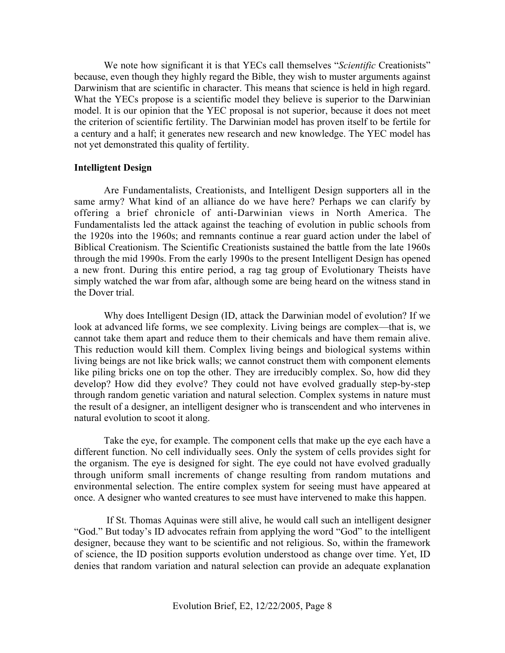We note how significant it is that YECs call themselves "*Scientific* Creationists" because, even though they highly regard the Bible, they wish to muster arguments against Darwinism that are scientific in character. This means that science is held in high regard. What the YECs propose is a scientific model they believe is superior to the Darwinian model. It is our opinion that the YEC proposal is not superior, because it does not meet the criterion of scientific fertility. The Darwinian model has proven itself to be fertile for a century and a half; it generates new research and new knowledge. The YEC model has not yet demonstrated this quality of fertility.

#### **Intelligtent Design**

Are Fundamentalists, Creationists, and Intelligent Design supporters all in the same army? What kind of an alliance do we have here? Perhaps we can clarify by offering a brief chronicle of anti-Darwinian views in North America. The Fundamentalists led the attack against the teaching of evolution in public schools from the 1920s into the 1960s; and remnants continue a rear guard action under the label of Biblical Creationism. The Scientific Creationists sustained the battle from the late 1960s through the mid 1990s. From the early 1990s to the present Intelligent Design has opened a new front. During this entire period, a rag tag group of Evolutionary Theists have simply watched the war from afar, although some are being heard on the witness stand in the Dover trial.

Why does Intelligent Design (ID, attack the Darwinian model of evolution? If we look at advanced life forms, we see complexity. Living beings are complex—that is, we cannot take them apart and reduce them to their chemicals and have them remain alive. This reduction would kill them. Complex living beings and biological systems within living beings are not like brick walls; we cannot construct them with component elements like piling bricks one on top the other. They are irreducibly complex. So, how did they develop? How did they evolve? They could not have evolved gradually step-by-step through random genetic variation and natural selection. Complex systems in nature must the result of a designer, an intelligent designer who is transcendent and who intervenes in natural evolution to scoot it along.

Take the eye, for example. The component cells that make up the eye each have a different function. No cell individually sees. Only the system of cells provides sight for the organism. The eye is designed for sight. The eye could not have evolved gradually through uniform small increments of change resulting from random mutations and environmental selection. The entire complex system for seeing must have appeared at once. A designer who wanted creatures to see must have intervened to make this happen.

If St. Thomas Aquinas were still alive, he would call such an intelligent designer "God." But today's ID advocates refrain from applying the word "God" to the intelligent designer, because they want to be scientific and not religious. So, within the framework of science, the ID position supports evolution understood as change over time. Yet, ID denies that random variation and natural selection can provide an adequate explanation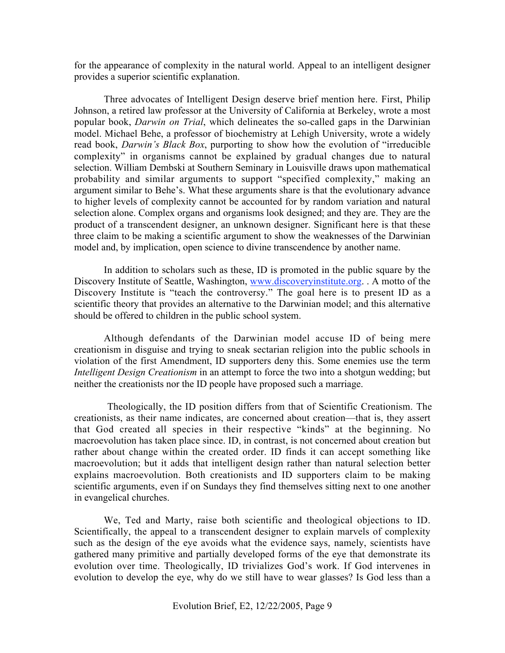for the appearance of complexity in the natural world. Appeal to an intelligent designer provides a superior scientific explanation.

Three advocates of Intelligent Design deserve brief mention here. First, Philip Johnson, a retired law professor at the University of California at Berkeley, wrote a most popular book, *Darwin on Trial*, which delineates the so-called gaps in the Darwinian model. Michael Behe, a professor of biochemistry at Lehigh University, wrote a widely read book, *Darwin's Black Box*, purporting to show how the evolution of "irreducible complexity" in organisms cannot be explained by gradual changes due to natural selection. William Dembski at Southern Seminary in Louisville draws upon mathematical probability and similar arguments to support "specified complexity," making an argument similar to Behe's. What these arguments share is that the evolutionary advance to higher levels of complexity cannot be accounted for by random variation and natural selection alone. Complex organs and organisms look designed; and they are. They are the product of a transcendent designer, an unknown designer. Significant here is that these three claim to be making a scientific argument to show the weaknesses of the Darwinian model and, by implication, open science to divine transcendence by another name.

In addition to scholars such as these, ID is promoted in the public square by the Discovery Institute of Seattle, Washington, www.discoveryinstitute.org. . A motto of the Discovery Institute is "teach the controversy." The goal here is to present ID as a scientific theory that provides an alternative to the Darwinian model; and this alternative should be offered to children in the public school system.

Although defendants of the Darwinian model accuse ID of being mere creationism in disguise and trying to sneak sectarian religion into the public schools in violation of the first Amendment, ID supporters deny this. Some enemies use the term *Intelligent Design Creationism* in an attempt to force the two into a shotgun wedding; but neither the creationists nor the ID people have proposed such a marriage.

Theologically, the ID position differs from that of Scientific Creationism. The creationists, as their name indicates, are concerned about creation—that is, they assert that God created all species in their respective "kinds" at the beginning. No macroevolution has taken place since. ID, in contrast, is not concerned about creation but rather about change within the created order. ID finds it can accept something like macroevolution; but it adds that intelligent design rather than natural selection better explains macroevolution. Both creationists and ID supporters claim to be making scientific arguments, even if on Sundays they find themselves sitting next to one another in evangelical churches.

We, Ted and Marty, raise both scientific and theological objections to ID. Scientifically, the appeal to a transcendent designer to explain marvels of complexity such as the design of the eye avoids what the evidence says, namely, scientists have gathered many primitive and partially developed forms of the eye that demonstrate its evolution over time. Theologically, ID trivializes God's work. If God intervenes in evolution to develop the eye, why do we still have to wear glasses? Is God less than a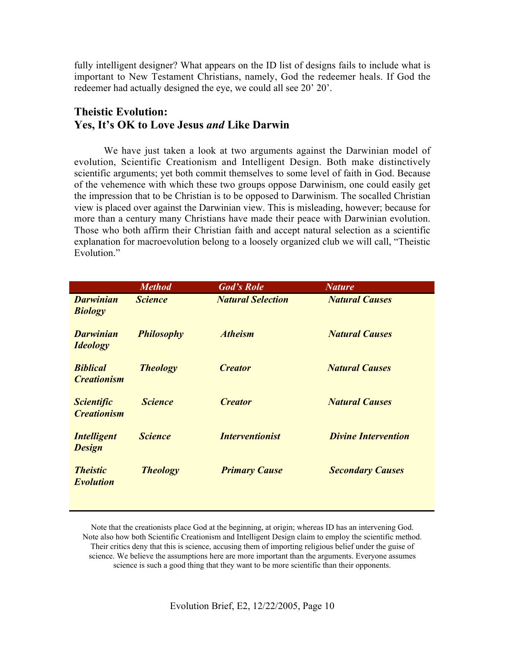fully intelligent designer? What appears on the ID list of designs fails to include what is important to New Testament Christians, namely, God the redeemer heals. If God the redeemer had actually designed the eye, we could all see 20' 20'.

## **Theistic Evolution: Yes, It's OK to Love Jesus** *and* **Like Darwin**

We have just taken a look at two arguments against the Darwinian model of evolution, Scientific Creationism and Intelligent Design. Both make distinctively scientific arguments; yet both commit themselves to some level of faith in God. Because of the vehemence with which these two groups oppose Darwinism, one could easily get the impression that to be Christian is to be opposed to Darwinism. The socalled Christian view is placed over against the Darwinian view. This is misleading, however; because for more than a century many Christians have made their peace with Darwinian evolution. Those who both affirm their Christian faith and accept natural selection as a scientific explanation for macroevolution belong to a loosely organized club we will call, "Theistic Evolution<sup>"</sup>

|                                            | <b>Method</b>     | <b>God's Role</b>                    | <b>Nature</b>              |
|--------------------------------------------|-------------------|--------------------------------------|----------------------------|
| <b>Darwinian</b><br><b>Biology</b>         | <b>Science</b>    | <b>Natural Selection</b>             | <b>Natural Causes</b>      |
| <b>Darwinian</b><br><b>Ideology</b>        | <b>Philosophy</b> | <i><b>Atheism</b></i>                | <b>Natural Causes</b>      |
| <b>Biblical</b><br><b>Creationism</b>      | <b>Theology</b>   | <i><b>Creator</b></i>                | <b>Natural Causes</b>      |
| <b>Scientific</b><br><b>Creationism</b>    | <b>Science</b>    | <i><b>Creator</b></i>                | <b>Natural Causes</b>      |
| <i><b>Intelligent</b></i><br><b>Design</b> | <b>Science</b>    | <i><u><b>Interventionist</b></u></i> | <b>Divine Intervention</b> |
| <b>Theistic</b><br><b>Evolution</b>        | <b>Theology</b>   | <b>Primary Cause</b>                 | <b>Secondary Causes</b>    |

Note that the creationists place God at the beginning, at origin; whereas ID has an intervening God. Note also how both Scientific Creationism and Intelligent Design claim to employ the scientific method. Their critics deny that this is science, accusing them of importing religious belief under the guise of science. We believe the assumptions here are more important than the arguments. Everyone assumes science is such a good thing that they want to be more scientific than their opponents.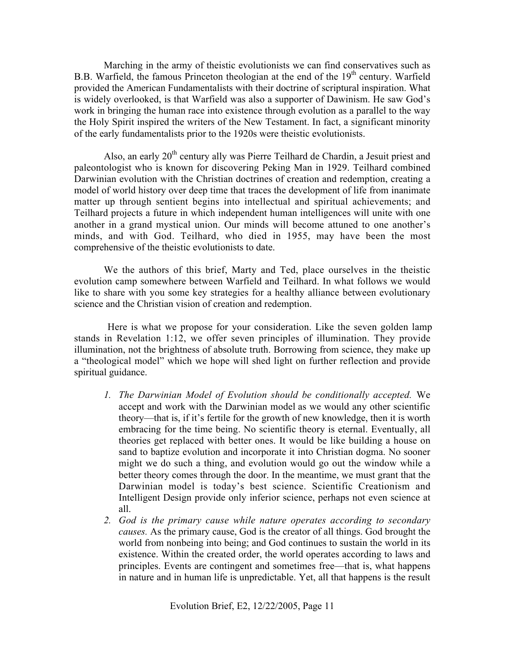Marching in the army of theistic evolutionists we can find conservatives such as B.B. Warfield, the famous Princeton theologian at the end of the 19<sup>th</sup> century. Warfield provided the American Fundamentalists with their doctrine of scriptural inspiration. What is widely overlooked, is that Warfield was also a supporter of Dawinism. He saw God's work in bringing the human race into existence through evolution as a parallel to the way the Holy Spirit inspired the writers of the New Testament. In fact, a significant minority of the early fundamentalists prior to the 1920s were theistic evolutionists.

Also, an early  $20<sup>th</sup>$  century ally was Pierre Teilhard de Chardin, a Jesuit priest and paleontologist who is known for discovering Peking Man in 1929. Teilhard combined Darwinian evolution with the Christian doctrines of creation and redemption, creating a model of world history over deep time that traces the development of life from inanimate matter up through sentient begins into intellectual and spiritual achievements; and Teilhard projects a future in which independent human intelligences will unite with one another in a grand mystical union. Our minds will become attuned to one another's minds, and with God. Teilhard, who died in 1955, may have been the most comprehensive of the theistic evolutionists to date.

We the authors of this brief, Marty and Ted, place ourselves in the theistic evolution camp somewhere between Warfield and Teilhard. In what follows we would like to share with you some key strategies for a healthy alliance between evolutionary science and the Christian vision of creation and redemption.

Here is what we propose for your consideration. Like the seven golden lamp stands in Revelation 1:12, we offer seven principles of illumination. They provide illumination, not the brightness of absolute truth. Borrowing from science, they make up a "theological model" which we hope will shed light on further reflection and provide spiritual guidance.

- *1. The Darwinian Model of Evolution should be conditionally accepted.* We accept and work with the Darwinian model as we would any other scientific theory—that is, if it's fertile for the growth of new knowledge, then it is worth embracing for the time being. No scientific theory is eternal. Eventually, all theories get replaced with better ones. It would be like building a house on sand to baptize evolution and incorporate it into Christian dogma. No sooner might we do such a thing, and evolution would go out the window while a better theory comes through the door. In the meantime, we must grant that the Darwinian model is today's best science. Scientific Creationism and Intelligent Design provide only inferior science, perhaps not even science at all.
- *2. God is the primary cause while nature operates according to secondary causes.* As the primary cause, God is the creator of all things. God brought the world from nonbeing into being; and God continues to sustain the world in its existence. Within the created order, the world operates according to laws and principles. Events are contingent and sometimes free—that is, what happens in nature and in human life is unpredictable. Yet, all that happens is the result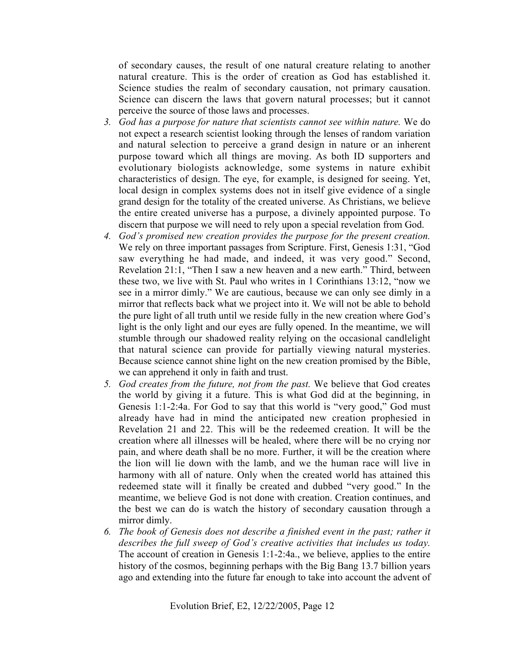of secondary causes, the result of one natural creature relating to another natural creature. This is the order of creation as God has established it. Science studies the realm of secondary causation, not primary causation. Science can discern the laws that govern natural processes; but it cannot perceive the source of those laws and processes.

- *3. God has a purpose for nature that scientists cannot see within nature.* We do not expect a research scientist looking through the lenses of random variation and natural selection to perceive a grand design in nature or an inherent purpose toward which all things are moving. As both ID supporters and evolutionary biologists acknowledge, some systems in nature exhibit characteristics of design. The eye, for example, is designed for seeing. Yet, local design in complex systems does not in itself give evidence of a single grand design for the totality of the created universe. As Christians, we believe the entire created universe has a purpose, a divinely appointed purpose. To discern that purpose we will need to rely upon a special revelation from God.
- *4. God's promised new creation provides the purpose for the present creation.* We rely on three important passages from Scripture. First, Genesis 1:31, "God saw everything he had made, and indeed, it was very good." Second, Revelation 21:1, "Then I saw a new heaven and a new earth." Third, between these two, we live with St. Paul who writes in 1 Corinthians 13:12, "now we see in a mirror dimly." We are cautious, because we can only see dimly in a mirror that reflects back what we project into it. We will not be able to behold the pure light of all truth until we reside fully in the new creation where God's light is the only light and our eyes are fully opened. In the meantime, we will stumble through our shadowed reality relying on the occasional candlelight that natural science can provide for partially viewing natural mysteries. Because science cannot shine light on the new creation promised by the Bible, we can apprehend it only in faith and trust.
- *5. God creates from the future, not from the past.* We believe that God creates the world by giving it a future. This is what God did at the beginning, in Genesis 1:1-2:4a. For God to say that this world is "very good," God must already have had in mind the anticipated new creation prophesied in Revelation 21 and 22. This will be the redeemed creation. It will be the creation where all illnesses will be healed, where there will be no crying nor pain, and where death shall be no more. Further, it will be the creation where the lion will lie down with the lamb, and we the human race will live in harmony with all of nature. Only when the created world has attained this redeemed state will it finally be created and dubbed "very good." In the meantime, we believe God is not done with creation. Creation continues, and the best we can do is watch the history of secondary causation through a mirror dimly.
- *6. The book of Genesis does not describe a finished event in the past; rather it describes the full sweep of God's creative activities that includes us today.* The account of creation in Genesis 1:1-2:4a., we believe, applies to the entire history of the cosmos, beginning perhaps with the Big Bang 13.7 billion years ago and extending into the future far enough to take into account the advent of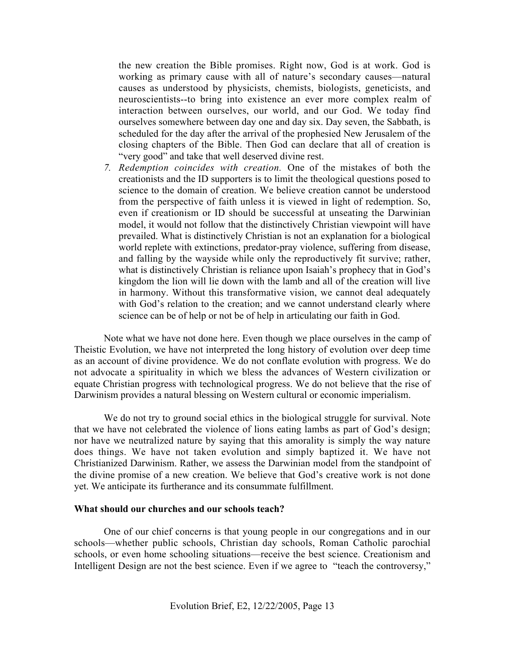the new creation the Bible promises. Right now, God is at work. God is working as primary cause with all of nature's secondary causes—natural causes as understood by physicists, chemists, biologists, geneticists, and neuroscientists--to bring into existence an ever more complex realm of interaction between ourselves, our world, and our God. We today find ourselves somewhere between day one and day six. Day seven, the Sabbath, is scheduled for the day after the arrival of the prophesied New Jerusalem of the closing chapters of the Bible. Then God can declare that all of creation is "very good" and take that well deserved divine rest.

*7. Redemption coincides with creation.* One of the mistakes of both the creationists and the ID supporters is to limit the theological questions posed to science to the domain of creation. We believe creation cannot be understood from the perspective of faith unless it is viewed in light of redemption. So, even if creationism or ID should be successful at unseating the Darwinian model, it would not follow that the distinctively Christian viewpoint will have prevailed. What is distinctively Christian is not an explanation for a biological world replete with extinctions, predator-pray violence, suffering from disease, and falling by the wayside while only the reproductively fit survive; rather, what is distinctively Christian is reliance upon Isaiah's prophecy that in God's kingdom the lion will lie down with the lamb and all of the creation will live in harmony. Without this transformative vision, we cannot deal adequately with God's relation to the creation; and we cannot understand clearly where science can be of help or not be of help in articulating our faith in God.

Note what we have not done here. Even though we place ourselves in the camp of Theistic Evolution, we have not interpreted the long history of evolution over deep time as an account of divine providence. We do not conflate evolution with progress. We do not advocate a spirituality in which we bless the advances of Western civilization or equate Christian progress with technological progress. We do not believe that the rise of Darwinism provides a natural blessing on Western cultural or economic imperialism.

We do not try to ground social ethics in the biological struggle for survival. Note that we have not celebrated the violence of lions eating lambs as part of God's design; nor have we neutralized nature by saying that this amorality is simply the way nature does things. We have not taken evolution and simply baptized it. We have not Christianized Darwinism. Rather, we assess the Darwinian model from the standpoint of the divine promise of a new creation. We believe that God's creative work is not done yet. We anticipate its furtherance and its consummate fulfillment.

#### **What should our churches and our schools teach?**

One of our chief concerns is that young people in our congregations and in our schools—whether public schools, Christian day schools, Roman Catholic parochial schools, or even home schooling situations—receive the best science. Creationism and Intelligent Design are not the best science. Even if we agree to "teach the controversy,"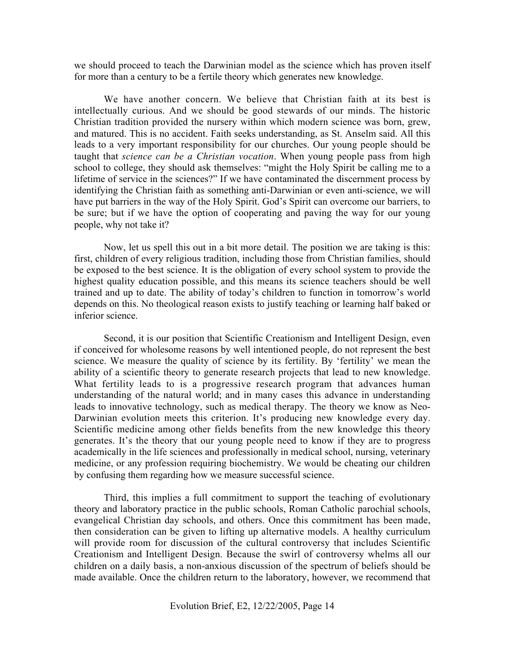we should proceed to teach the Darwinian model as the science which has proven itself for more than a century to be a fertile theory which generates new knowledge.

We have another concern. We believe that Christian faith at its best is intellectually curious. And we should be good stewards of our minds. The historic Christian tradition provided the nursery within which modern science was born, grew, and matured. This is no accident. Faith seeks understanding, as St. Anselm said. All this leads to a very important responsibility for our churches. Our young people should be taught that *science can be a Christian vocation*. When young people pass from high school to college, they should ask themselves: "might the Holy Spirit be calling me to a lifetime of service in the sciences?" If we have contaminated the discernment process by identifying the Christian faith as something anti-Darwinian or even anti-science, we will have put barriers in the way of the Holy Spirit. God's Spirit can overcome our barriers, to be sure; but if we have the option of cooperating and paving the way for our young people, why not take it?

Now, let us spell this out in a bit more detail. The position we are taking is this: first, children of every religious tradition, including those from Christian families, should be exposed to the best science. It is the obligation of every school system to provide the highest quality education possible, and this means its science teachers should be well trained and up to date. The ability of today's children to function in tomorrow's world depends on this. No theological reason exists to justify teaching or learning half baked or inferior science.

Second, it is our position that Scientific Creationism and Intelligent Design, even if conceived for wholesome reasons by well intentioned people, do not represent the best science. We measure the quality of science by its fertility. By 'fertility' we mean the ability of a scientific theory to generate research projects that lead to new knowledge. What fertility leads to is a progressive research program that advances human understanding of the natural world; and in many cases this advance in understanding leads to innovative technology, such as medical therapy. The theory we know as Neo-Darwinian evolution meets this criterion. It's producing new knowledge every day. Scientific medicine among other fields benefits from the new knowledge this theory generates. It's the theory that our young people need to know if they are to progress academically in the life sciences and professionally in medical school, nursing, veterinary medicine, or any profession requiring biochemistry. We would be cheating our children by confusing them regarding how we measure successful science.

Third, this implies a full commitment to support the teaching of evolutionary theory and laboratory practice in the public schools, Roman Catholic parochial schools, evangelical Christian day schools, and others. Once this commitment has been made, then consideration can be given to lifting up alternative models. A healthy curriculum will provide room for discussion of the cultural controversy that includes Scientific Creationism and Intelligent Design. Because the swirl of controversy whelms all our children on a daily basis, a non-anxious discussion of the spectrum of beliefs should be made available. Once the children return to the laboratory, however, we recommend that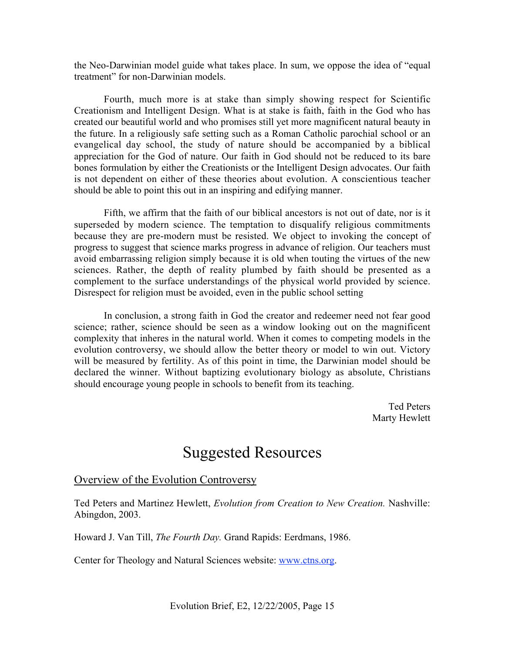the Neo-Darwinian model guide what takes place. In sum, we oppose the idea of "equal treatment" for non-Darwinian models.

Fourth, much more is at stake than simply showing respect for Scientific Creationism and Intelligent Design. What is at stake is faith, faith in the God who has created our beautiful world and who promises still yet more magnificent natural beauty in the future. In a religiously safe setting such as a Roman Catholic parochial school or an evangelical day school, the study of nature should be accompanied by a biblical appreciation for the God of nature. Our faith in God should not be reduced to its bare bones formulation by either the Creationists or the Intelligent Design advocates. Our faith is not dependent on either of these theories about evolution. A conscientious teacher should be able to point this out in an inspiring and edifying manner.

Fifth, we affirm that the faith of our biblical ancestors is not out of date, nor is it superseded by modern science. The temptation to disqualify religious commitments because they are pre-modern must be resisted. We object to invoking the concept of progress to suggest that science marks progress in advance of religion. Our teachers must avoid embarrassing religion simply because it is old when touting the virtues of the new sciences. Rather, the depth of reality plumbed by faith should be presented as a complement to the surface understandings of the physical world provided by science. Disrespect for religion must be avoided, even in the public school setting

In conclusion, a strong faith in God the creator and redeemer need not fear good science; rather, science should be seen as a window looking out on the magnificent complexity that inheres in the natural world. When it comes to competing models in the evolution controversy, we should allow the better theory or model to win out. Victory will be measured by fertility. As of this point in time, the Darwinian model should be declared the winner. Without baptizing evolutionary biology as absolute, Christians should encourage young people in schools to benefit from its teaching.

> Ted Peters Marty Hewlett

# Suggested Resources

#### Overview of the Evolution Controversy

Ted Peters and Martinez Hewlett, *Evolution from Creation to New Creation.* Nashville: Abingdon, 2003.

Howard J. Van Till, *The Fourth Day.* Grand Rapids: Eerdmans, 1986.

Center for Theology and Natural Sciences website: www.ctns.org.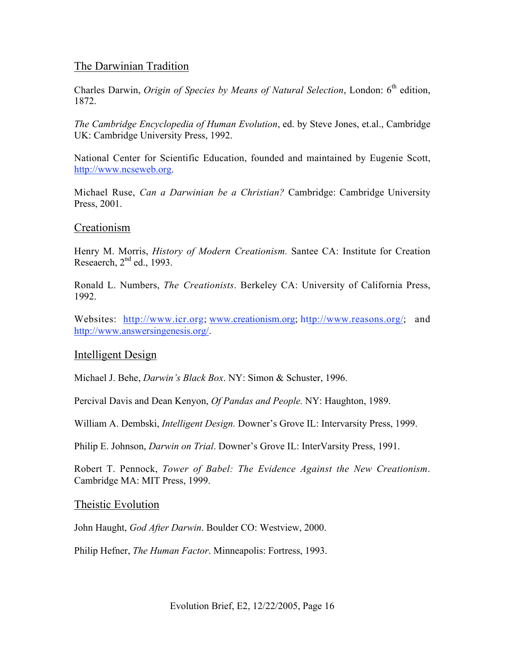### The Darwinian Tradition

Charles Darwin, *Origin of Species by Means of Natural Selection*, London: 6<sup>th</sup> edition, 1872.

*The Cambridge Encyclopedia of Human Evolution*, ed. by Steve Jones, et.al., Cambridge UK: Cambridge University Press, 1992.

National Center for Scientific Education, founded and maintained by Eugenie Scott, http://www.ncseweb.org.

Michael Ruse, *Can a Darwinian be a Christian?* Cambridge: Cambridge University Press, 2001.

#### Creationism

Henry M. Morris, *History of Modern Creationism.* Santee CA: Institute for Creation Reseaerch,  $2<sup>nd</sup>$  ed., 1993.

Ronald L. Numbers, *The Creationists*. Berkeley CA: University of California Press, 1992.

Websites: http://www.icr.org; www.creationism.org; http://www.reasons.org/; and http://www.answersingenesis.org/.

#### Intelligent Design

Michael J. Behe, *Darwin's Black Box*. NY: Simon & Schuster, 1996.

Percival Davis and Dean Kenyon, *Of Pandas and People.* NY: Haughton, 1989.

William A. Dembski, *Intelligent Design.* Downer's Grove IL: Intervarsity Press, 1999.

Philip E. Johnson, *Darwin on Trial*. Downer's Grove IL: InterVarsity Press, 1991.

Robert T. Pennock, *Tower of Babel: The Evidence Against the New Creationism*. Cambridge MA: MIT Press, 1999.

#### Theistic Evolution

John Haught, *God After Darwin*. Boulder CO: Westview, 2000.

Philip Hefner, *The Human Factor*. Minneapolis: Fortress, 1993.